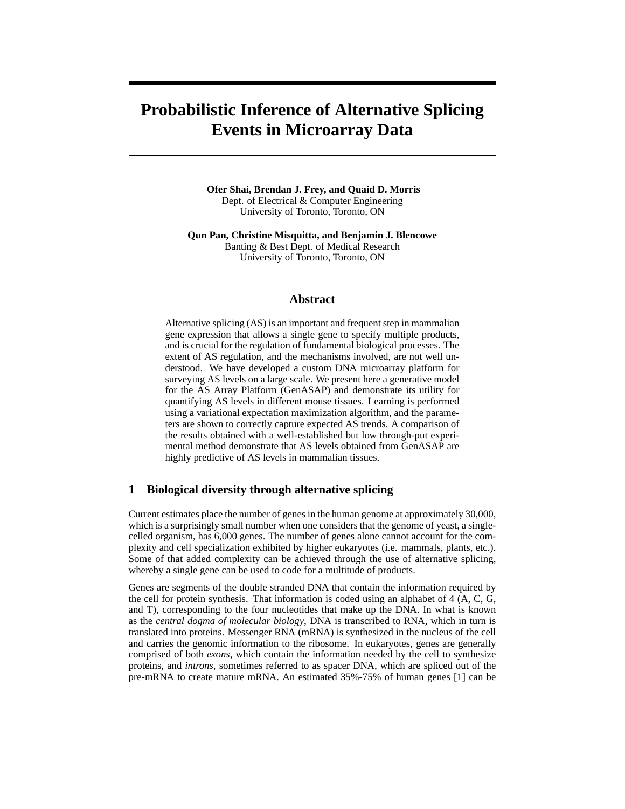# **Probabilistic Inference of Alternative Splicing Events in Microarray Data**

**Ofer Shai, Brendan J. Frey, and Quaid D. Morris** Dept. of Electrical & Computer Engineering University of Toronto, Toronto, ON

**Qun Pan, Christine Misquitta, and Benjamin J. Blencowe** Banting & Best Dept. of Medical Research University of Toronto, Toronto, ON

## **Abstract**

Alternative splicing (AS) is an important and frequent step in mammalian gene expression that allows a single gene to specify multiple products, and is crucial for the regulation of fundamental biological processes. The extent of AS regulation, and the mechanisms involved, are not well understood. We have developed a custom DNA microarray platform for surveying AS levels on a large scale. We present here a generative model for the AS Array Platform (GenASAP) and demonstrate its utility for quantifying AS levels in different mouse tissues. Learning is performed using a variational expectation maximization algorithm, and the parameters are shown to correctly capture expected AS trends. A comparison of the results obtained with a well-established but low through-put experimental method demonstrate that AS levels obtained from GenASAP are highly predictive of AS levels in mammalian tissues.

## **1 Biological diversity through alternative splicing**

Current estimates place the number of genes in the human genome at approximately 30,000, which is a surprisingly small number when one considers that the genome of yeast, a singlecelled organism, has 6,000 genes. The number of genes alone cannot account for the complexity and cell specialization exhibited by higher eukaryotes (i.e. mammals, plants, etc.). Some of that added complexity can be achieved through the use of alternative splicing, whereby a single gene can be used to code for a multitude of products.

Genes are segments of the double stranded DNA that contain the information required by the cell for protein synthesis. That information is coded using an alphabet of 4 (A, C, G, and T), corresponding to the four nucleotides that make up the DNA. In what is known as the *central dogma of molecular biology*, DNA is transcribed to RNA, which in turn is translated into proteins. Messenger RNA (mRNA) is synthesized in the nucleus of the cell and carries the genomic information to the ribosome. In eukaryotes, genes are generally comprised of both *exons*, which contain the information needed by the cell to synthesize proteins, and *introns*, sometimes referred to as spacer DNA, which are spliced out of the pre-mRNA to create mature mRNA. An estimated 35%-75% of human genes [1] can be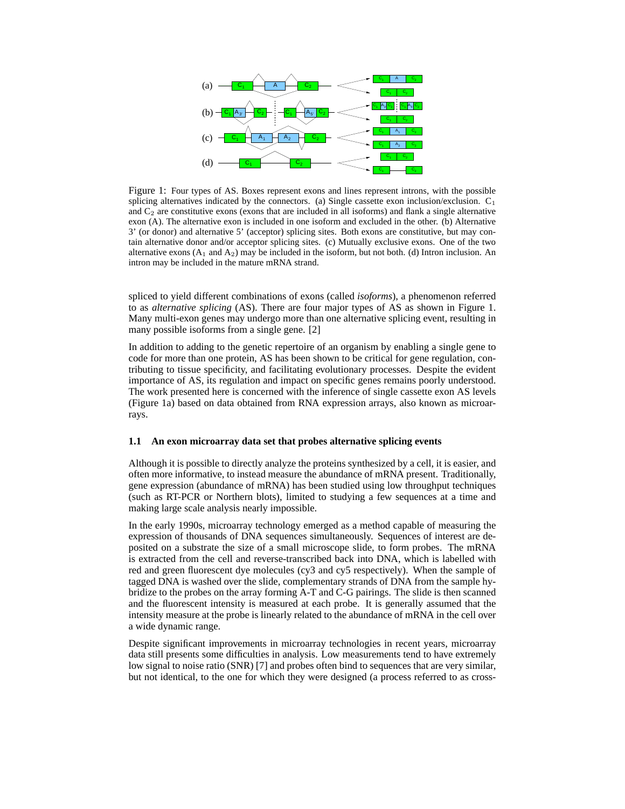

Figure 1: Four types of AS. Boxes represent exons and lines represent introns, with the possible splicing alternatives indicated by the connectors. (a) Single cassette exon inclusion/exclusion.  $C_1$ and  $C_2$  are constitutive exons (exons that are included in all isoforms) and flank a single alternative exon (A). The alternative exon is included in one isoform and excluded in the other. (b) Alternative 3' (or donor) and alternative 5' (acceptor) splicing sites. Both exons are constitutive, but may contain alternative donor and/or acceptor splicing sites. (c) Mutually exclusive exons. One of the two alternative exons  $(A_1 \text{ and } A_2)$  may be included in the isoform, but not both. (d) Intron inclusion. An intron may be included in the mature mRNA strand.

spliced to yield different combinations of exons (called *isoforms*), a phenomenon referred to as *alternative splicing* (AS). There are four major types of AS as shown in Figure 1. Many multi-exon genes may undergo more than one alternative splicing event, resulting in many possible isoforms from a single gene. [2]

In addition to adding to the genetic repertoire of an organism by enabling a single gene to code for more than one protein, AS has been shown to be critical for gene regulation, contributing to tissue specificity, and facilitating evolutionary processes. Despite the evident importance of AS, its regulation and impact on specific genes remains poorly understood. The work presented here is concerned with the inference of single cassette exon AS levels (Figure 1a) based on data obtained from RNA expression arrays, also known as microarrays.

#### **1.1 An exon microarray data set that probes alternative splicing events**

Although it is possible to directly analyze the proteins synthesized by a cell, it is easier, and often more informative, to instead measure the abundance of mRNA present. Traditionally, gene expression (abundance of mRNA) has been studied using low throughput techniques (such as RT-PCR or Northern blots), limited to studying a few sequences at a time and making large scale analysis nearly impossible.

In the early 1990s, microarray technology emerged as a method capable of measuring the expression of thousands of DNA sequences simultaneously. Sequences of interest are deposited on a substrate the size of a small microscope slide, to form probes. The mRNA is extracted from the cell and reverse-transcribed back into DNA, which is labelled with red and green fluorescent dye molecules (cy3 and cy5 respectively). When the sample of tagged DNA is washed over the slide, complementary strands of DNA from the sample hybridize to the probes on the array forming A-T and C-G pairings. The slide is then scanned and the fluorescent intensity is measured at each probe. It is generally assumed that the intensity measure at the probe is linearly related to the abundance of mRNA in the cell over a wide dynamic range.

Despite significant improvements in microarray technologies in recent years, microarray data still presents some difficulties in analysis. Low measurements tend to have extremely low signal to noise ratio (SNR) [7] and probes often bind to sequences that are very similar, but not identical, to the one for which they were designed (a process referred to as cross-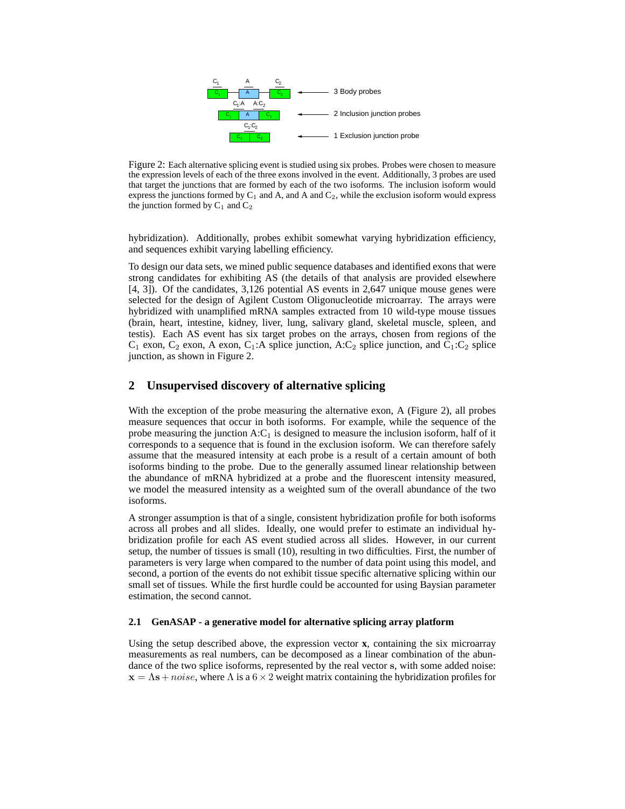

Figure 2: Each alternative splicing event is studied using six probes. Probes were chosen to measure the expression levels of each of the three exons involved in the event. Additionally, 3 probes are used that target the junctions that are formed by each of the two isoforms. The inclusion isoform would express the junctions formed by  $C_1$  and  $A$ , and  $A$  and  $C_2$ , while the exclusion isoform would express the junction formed by  $C_1$  and  $C_2$ 

hybridization). Additionally, probes exhibit somewhat varying hybridization efficiency, and sequences exhibit varying labelling efficiency.

To design our data sets, we mined public sequence databases and identified exons that were strong candidates for exhibiting AS (the details of that analysis are provided elsewhere [4, 3]). Of the candidates, 3,126 potential AS events in 2,647 unique mouse genes were selected for the design of Agilent Custom Oligonucleotide microarray. The arrays were hybridized with unamplified mRNA samples extracted from 10 wild-type mouse tissues (brain, heart, intestine, kidney, liver, lung, salivary gland, skeletal muscle, spleen, and testis). Each AS event has six target probes on the arrays, chosen from regions of the  $C_1$  exon,  $C_2$  exon, A exon,  $C_1$ :A splice junction, A: $C_2$  splice junction, and  $C_1$ : $C_2$  splice junction, as shown in Figure 2.

## **2 Unsupervised discovery of alternative splicing**

With the exception of the probe measuring the alternative exon, A (Figure 2), all probes measure sequences that occur in both isoforms. For example, while the sequence of the probe measuring the junction  $A:C_1$  is designed to measure the inclusion isoform, half of it corresponds to a sequence that is found in the exclusion isoform. We can therefore safely assume that the measured intensity at each probe is a result of a certain amount of both isoforms binding to the probe. Due to the generally assumed linear relationship between the abundance of mRNA hybridized at a probe and the fluorescent intensity measured, we model the measured intensity as a weighted sum of the overall abundance of the two isoforms.

A stronger assumption is that of a single, consistent hybridization profile for both isoforms across all probes and all slides. Ideally, one would prefer to estimate an individual hybridization profile for each AS event studied across all slides. However, in our current setup, the number of tissues is small (10), resulting in two difficulties. First, the number of parameters is very large when compared to the number of data point using this model, and second, a portion of the events do not exhibit tissue specific alternative splicing within our small set of tissues. While the first hurdle could be accounted for using Baysian parameter estimation, the second cannot.

### **2.1 GenASAP - a generative model for alternative splicing array platform**

Using the setup described above, the expression vector **x**, containing the six microarray measurements as real numbers, can be decomposed as a linear combination of the abundance of the two splice isoforms, represented by the real vector s, with some added noise:  $x = \Lambda s + noise$ , where  $\Lambda$  is a  $6 \times 2$  weight matrix containing the hybridization profiles for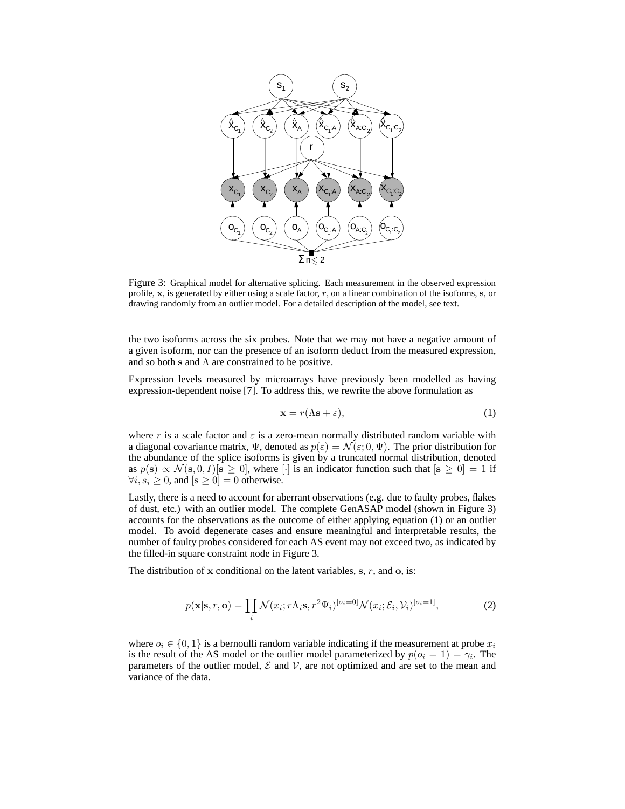

Figure 3: Graphical model for alternative splicing. Each measurement in the observed expression profile,  $x$ , is generated by either using a scale factor,  $r$ , on a linear combination of the isoforms,  $s$ , or drawing randomly from an outlier model. For a detailed description of the model, see text.

the two isoforms across the six probes. Note that we may not have a negative amount of a given isoform, nor can the presence of an isoform deduct from the measured expression, and so both s and  $\Lambda$  are constrained to be positive.

Expression levels measured by microarrays have previously been modelled as having expression-dependent noise [7]. To address this, we rewrite the above formulation as

$$
\mathbf{x} = r(\Lambda \mathbf{s} + \varepsilon),\tag{1}
$$

where r is a scale factor and  $\varepsilon$  is a zero-mean normally distributed random variable with a diagonal covariance matrix,  $\Psi$ , denoted as  $p(\varepsilon) = \mathcal{N}(\varepsilon; 0, \Psi)$ . The prior distribution for the abundance of the splice isoforms is given by a truncated normal distribution, denoted as  $p(s) \propto \mathcal{N}(s, 0, I)[s \ge 0]$ , where [·] is an indicator function such that  $[s \ge 0] = 1$  if  $\forall i, s_i \geq 0$ , and  $[s \geq 0] = 0$  otherwise.

Lastly, there is a need to account for aberrant observations (e.g. due to faulty probes, flakes of dust, etc.) with an outlier model. The complete GenASAP model (shown in Figure 3) accounts for the observations as the outcome of either applying equation (1) or an outlier model. To avoid degenerate cases and ensure meaningful and interpretable results, the number of faulty probes considered for each AS event may not exceed two, as indicated by the filled-in square constraint node in Figure 3.

The distribution of  $x$  conditional on the latent variables,  $s, r$ , and  $o$ , is:

$$
p(\mathbf{x}|\mathbf{s}, r, \mathbf{o}) = \prod_{i} \mathcal{N}(x_i; r\Lambda_i \mathbf{s}, r^2 \Psi_i)^{[o_i = 0]} \mathcal{N}(x_i; \mathcal{E}_i, \mathcal{V}_i)^{[o_i = 1]},
$$
\n(2)

where  $o_i \in \{0,1\}$  is a bernoulli random variable indicating if the measurement at probe  $x_i$ is the result of the AS model or the outlier model parameterized by  $p(o_i = 1) = \gamma_i$ . The parameters of the outlier model,  $\mathcal E$  and  $\mathcal V$ , are not optimized and are set to the mean and variance of the data.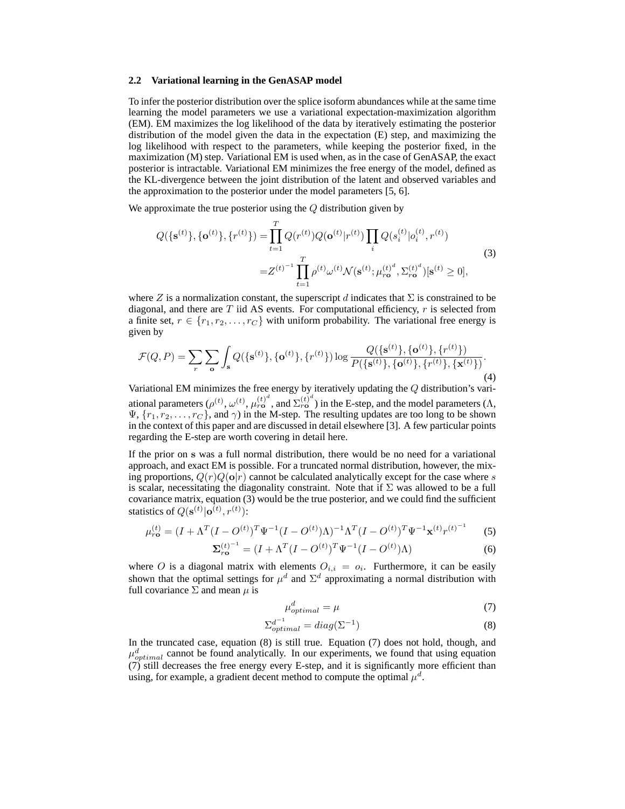#### **2.2 Variational learning in the GenASAP model**

To infer the posterior distribution over the splice isoform abundances while at the same time learning the model parameters we use a variational expectation-maximization algorithm (EM). EM maximizes the log likelihood of the data by iteratively estimating the posterior distribution of the model given the data in the expectation (E) step, and maximizing the log likelihood with respect to the parameters, while keeping the posterior fixed, in the maximization (M) step. Variational EM is used when, as in the case of GenASAP, the exact posterior is intractable. Variational EM minimizes the free energy of the model, defined as the KL-divergence between the joint distribution of the latent and observed variables and the approximation to the posterior under the model parameters [5, 6].

We approximate the true posterior using the  $Q$  distribution given by

$$
Q(\{\mathbf{s}^{(t)}\}, \{\mathbf{o}^{(t)}\}, \{r^{(t)}\}) = \prod_{t=1}^{T} Q(r^{(t)}) Q(\mathbf{o}^{(t)} | r^{(t)}) \prod_{i} Q(s_i^{(t)} | o_i^{(t)}, r^{(t)})
$$
  

$$
= Z^{(t)^{-1}} \prod_{t=1}^{T} \rho^{(t)} \omega^{(t)} \mathcal{N}(\mathbf{s}^{(t)}; \mu_{r\mathbf{o}}^{(t)^{d}}, \Sigma_{r\mathbf{o}}^{(t)^{d}}) [\mathbf{s}^{(t)} \ge 0],
$$
 (3)

where Z is a normalization constant, the superscript d indicates that  $\Sigma$  is constrained to be diagonal, and there are  $T$  iid AS events. For computational efficiency,  $r$  is selected from a finite set,  $r \in \{r_1, r_2, \ldots, r_C\}$  with uniform probability. The variational free energy is given by

$$
\mathcal{F}(Q, P) = \sum_{r} \sum_{\mathbf{o}} \int_{\mathbf{s}} Q(\{\mathbf{s}^{(t)}\}, \{\mathbf{o}^{(t)}\}, \{r^{(t)}\}) \log \frac{Q(\{\mathbf{s}^{(t)}\}, \{\mathbf{o}^{(t)}\}, \{r^{(t)}\})}{P(\{\mathbf{s}^{(t)}\}, \{\mathbf{o}^{(t)}\}, \{r^{(t)}\}, \{\mathbf{x}^{(t)}\})}.
$$
\n(4)

Variational EM minimizes the free energy by iteratively updating the Q distribution's variational parameters  $(\rho^{(t)}, \omega^{(t)}, \mu_{r\mathbf{o}}^{(t)^d},$  and  $\Sigma_{r\mathbf{o}}^{(t)^d})$  in the E-step, and the model parameters  $(\Lambda,$  $\Psi$ ,  $\{r_1, r_2, \ldots, r_C\}$ , and  $\gamma$ ) in the M-step. The resulting updates are too long to be shown in the context of this paper and are discussed in detail elsewhere [3]. A few particular points regarding the E-step are worth covering in detail here.

If the prior on s was a full normal distribution, there would be no need for a variational approach, and exact EM is possible. For a truncated normal distribution, however, the mixing proportions,  $Q(r)Q(\mathbf{o}|r)$  cannot be calculated analytically except for the case where s is scalar, necessitating the diagonality constraint. Note that if  $\Sigma$  was allowed to be a full covariance matrix, equation (3) would be the true posterior, and we could find the sufficient statistics of  $Q(\mathbf{s}^{(t)} | \mathbf{o}^{(t)}, r^{(t)})$ :

$$
\mu_{r\mathbf{o}}^{(t)} = (I + \Lambda^T (I - O^{(t)})^T \Psi^{-1} (I - O^{(t)}) \Lambda)^{-1} \Lambda^T (I - O^{(t)})^T \Psi^{-1} \mathbf{x}^{(t)} r^{(t)^{-1}}
$$
(5)

$$
\Sigma_{r\mathbf{0}}^{(t)^{-1}} = (I + \Lambda^T (I - O^{(t)})^T \Psi^{-1} (I - O^{(t)}) \Lambda)
$$
\n(6)

where O is a diagonal matrix with elements  $O_{i,i} = o_i$ . Furthermore, it can be easily shown that the optimal settings for  $\mu^d$  and  $\Sigma^d$  approximating a normal distribution with full covariance  $\Sigma$  and mean  $\mu$  is

$$
\mu_{optimal}^d = \mu \tag{7}
$$

$$
\Sigma_{optimal}^{d^{-1}} = diag(\Sigma^{-1})
$$
\n(8)

In the truncated case, equation (8) is still true. Equation (7) does not hold, though, and  $\mu_{optimal}^d$  cannot be found analytically. In our experiments, we found that using equation (7) still decreases the free energy every E-step, and it is significantly more efficient than using, for example, a gradient decent method to compute the optimal  $\mu^d$ .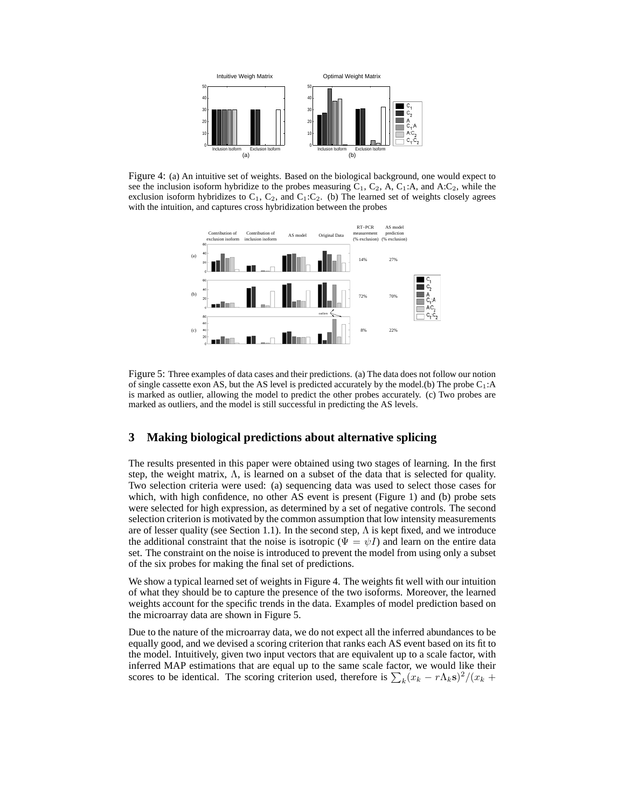

Figure 4: (a) An intuitive set of weights. Based on the biological background, one would expect to see the inclusion isoform hybridize to the probes measuring  $C_1$ ,  $C_2$ ,  $A$ ,  $C_1$ :A, and  $A$ : $C_2$ , while the exclusion isoform hybridizes to  $C_1$ ,  $C_2$ , and  $C_1$ :  $C_2$ . (b) The learned set of weights closely agrees with the intuition, and captures cross hybridization between the probes



Figure 5: Three examples of data cases and their predictions. (a) The data does not follow our notion of single cassette exon AS, but the AS level is predicted accurately by the model.(b) The probe  $C_1$ :A is marked as outlier, allowing the model to predict the other probes accurately. (c) Two probes are marked as outliers, and the model is still successful in predicting the AS levels.

# **3 Making biological predictions about alternative splicing**

The results presented in this paper were obtained using two stages of learning. In the first step, the weight matrix,  $\Lambda$ , is learned on a subset of the data that is selected for quality. Two selection criteria were used: (a) sequencing data was used to select those cases for which, with high confidence, no other AS event is present (Figure 1) and (b) probe sets were selected for high expression, as determined by a set of negative controls. The second selection criterion is motivated by the common assumption that low intensity measurements are of lesser quality (see Section 1.1). In the second step,  $\Lambda$  is kept fixed, and we introduce the additional constraint that the noise is isotropic ( $\Psi = \psi I$ ) and learn on the entire data set. The constraint on the noise is introduced to prevent the model from using only a subset of the six probes for making the final set of predictions.

We show a typical learned set of weights in Figure 4. The weights fit well with our intuition of what they should be to capture the presence of the two isoforms. Moreover, the learned weights account for the specific trends in the data. Examples of model prediction based on the microarray data are shown in Figure 5.

Due to the nature of the microarray data, we do not expect all the inferred abundances to be equally good, and we devised a scoring criterion that ranks each AS event based on its fit to the model. Intuitively, given two input vectors that are equivalent up to a scale factor, with inferred MAP estimations that are equal up to the same scale factor, we would like their inferred MAP estimations that are equal up to the same scale factor, we would like their scores to be identical. The scoring criterion used, therefore is  $\sum_k (x_k - r \Lambda_k s)^2 / (x_k +$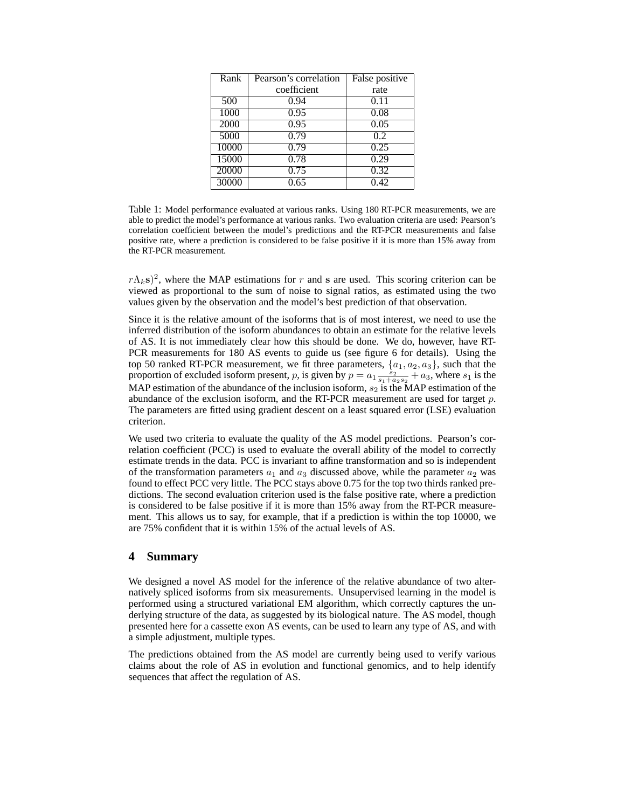| Rank  | Pearson's correlation | False positive |
|-------|-----------------------|----------------|
|       | coefficient           | rate           |
| 500   | 0.94                  | 0.11           |
| 1000  | 0.95                  | 0.08           |
| 2000  | 0.95                  | 0.05           |
| 5000  | 0.79                  | 0.2            |
| 10000 | 0.79                  | 0.25           |
| 15000 | 0.78                  | 0.29           |
| 20000 | 0.75                  | 0.32           |
| 30000 | 0.65                  | 0.42           |

Table 1: Model performance evaluated at various ranks. Using 180 RT-PCR measurements, we are able to predict the model's performance at various ranks. Two evaluation criteria are used: Pearson's correlation coefficient between the model's predictions and the RT-PCR measurements and false positive rate, where a prediction is considered to be false positive if it is more than 15% away from the RT-PCR measurement.

 $r\Lambda_k$ s)<sup>2</sup>, where the MAP estimations for r and s are used. This scoring criterion can be viewed as proportional to the sum of noise to signal ratios, as estimated using the two values given by the observation and the model's best prediction of that observation.

Since it is the relative amount of the isoforms that is of most interest, we need to use the inferred distribution of the isoform abundances to obtain an estimate for the relative levels of AS. It is not immediately clear how this should be done. We do, however, have RT-PCR measurements for 180 AS events to guide us (see figure 6 for details). Using the top 50 ranked RT-PCR measurement, we fit three parameters,  $\{a_1, a_2, a_3\}$ , such that the proportion of excluded isoform present, p, is given by  $p = a_1 \frac{s_2}{s_1 + a_2 s_2} + a_3$ , where  $s_1$  is the MAP estimation of the abundance of the inclusion isoform,  $s_2$  is the MAP estimation of the abundance of the exclusion isoform, and the RT-PCR measurement are used for target  $p$ . The parameters are fitted using gradient descent on a least squared error (LSE) evaluation criterion.

We used two criteria to evaluate the quality of the AS model predictions. Pearson's correlation coefficient (PCC) is used to evaluate the overall ability of the model to correctly estimate trends in the data. PCC is invariant to affine transformation and so is independent of the transformation parameters  $a_1$  and  $a_3$  discussed above, while the parameter  $a_2$  was found to effect PCC very little. The PCC stays above 0.75 for the top two thirds ranked predictions. The second evaluation criterion used is the false positive rate, where a prediction is considered to be false positive if it is more than 15% away from the RT-PCR measurement. This allows us to say, for example, that if a prediction is within the top 10000, we are 75% confident that it is within 15% of the actual levels of AS.

# **4 Summary**

We designed a novel AS model for the inference of the relative abundance of two alternatively spliced isoforms from six measurements. Unsupervised learning in the model is performed using a structured variational EM algorithm, which correctly captures the underlying structure of the data, as suggested by its biological nature. The AS model, though presented here for a cassette exon AS events, can be used to learn any type of AS, and with a simple adjustment, multiple types.

The predictions obtained from the AS model are currently being used to verify various claims about the role of AS in evolution and functional genomics, and to help identify sequences that affect the regulation of AS.